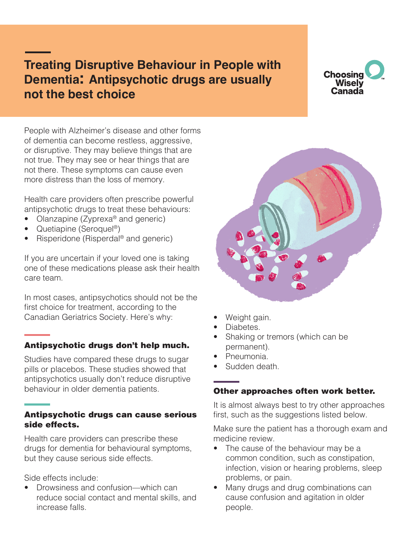# **Treating Disruptive Behaviour in People with Dementia: Antipsychotic drugs are usually not the best choice**

# **Choosing** Wisely Canada

People with Alzheimer's disease and other forms of dementia can become restless, aggressive, or disruptive. They may believe things that are not true. They may see or hear things that are not there. These symptoms can cause even more distress than the loss of memory.

Health care providers often prescribe powerful antipsychotic drugs to treat these behaviours:

- Olanzapine (Zyprexa<sup>®</sup> and generic)
- Quetiapine (Seroquel<sup>®</sup>)
- Risperidone (Risperdal<sup>®</sup> and generic)

If you are uncertain if your loved one is taking one of these medications please ask their health care team.

In most cases, antipsychotics should not be the first choice for treatment, according to the Canadian Geriatrics Society. Here's why:

## Antipsychotic drugs don't help much.

Studies have compared these drugs to sugar pills or placebos. These studies showed that antipsychotics usually don't reduce disruptive behaviour in older dementia patients.

#### Antipsychotic drugs can cause serious side effects.

Health care providers can prescribe these drugs for dementia for behavioural symptoms, but they cause serious side effects.

Side effects include:

Drowsiness and confusion—which can reduce social contact and mental skills, and increase falls.



- Weight gain.
- Diabetes.
- Shaking or tremors (which can be permanent).
- Pneumonia.
- Sudden death

## Other approaches often work better.

It is almost always best to try other approaches first, such as the suggestions listed below.

Make sure the patient has a thorough exam and medicine review.

- The cause of the behaviour may be a common condition, such as constipation, infection, vision or hearing problems, sleep problems, or pain.
- Many drugs and drug combinations can cause confusion and agitation in older people.